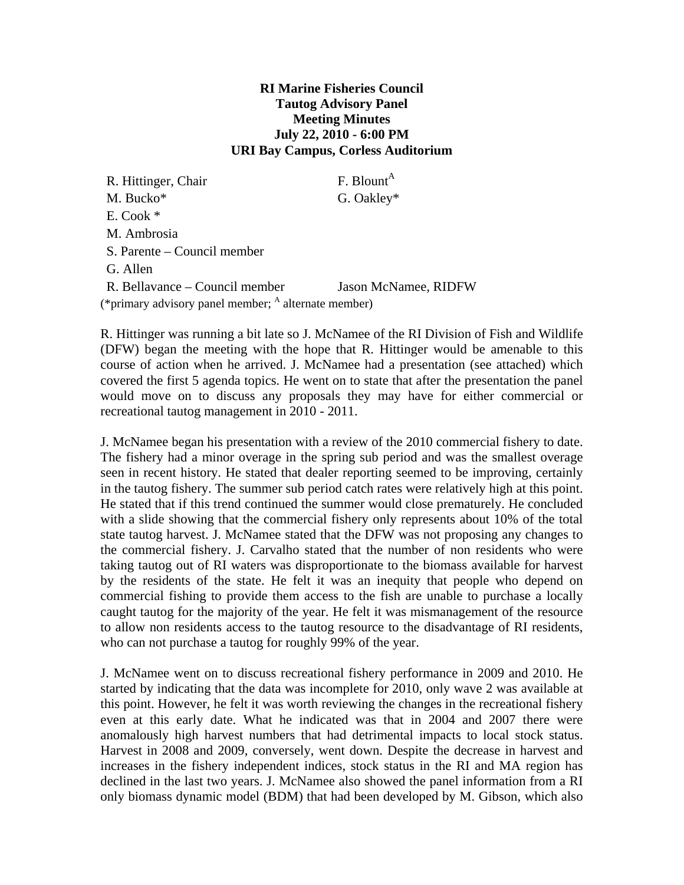## **RI Marine Fisheries Council Tautog Advisory Panel Meeting Minutes July 22, 2010 - 6:00 PM URI Bay Campus, Corless Auditorium**

| R. Hittinger, Chair                                             | F. Blount <sup>A</sup> |
|-----------------------------------------------------------------|------------------------|
| M. Bucko*                                                       | G. Oakley*             |
| $E. \text{ Cook}$                                               |                        |
| M. Ambrosia                                                     |                        |
| S. Parente – Council member                                     |                        |
| G. Allen                                                        |                        |
| R. Bellavance – Council member                                  | Jason McNamee, RIDFW   |
| (*primary advisory panel member; <sup>A</sup> alternate member) |                        |

R. Hittinger was running a bit late so J. McNamee of the RI Division of Fish and Wildlife (DFW) began the meeting with the hope that R. Hittinger would be amenable to this course of action when he arrived. J. McNamee had a presentation (see attached) which covered the first 5 agenda topics. He went on to state that after the presentation the panel would move on to discuss any proposals they may have for either commercial or recreational tautog management in 2010 - 2011.

J. McNamee began his presentation with a review of the 2010 commercial fishery to date. The fishery had a minor overage in the spring sub period and was the smallest overage seen in recent history. He stated that dealer reporting seemed to be improving, certainly in the tautog fishery. The summer sub period catch rates were relatively high at this point. He stated that if this trend continued the summer would close prematurely. He concluded with a slide showing that the commercial fishery only represents about 10% of the total state tautog harvest. J. McNamee stated that the DFW was not proposing any changes to the commercial fishery. J. Carvalho stated that the number of non residents who were taking tautog out of RI waters was disproportionate to the biomass available for harvest by the residents of the state. He felt it was an inequity that people who depend on commercial fishing to provide them access to the fish are unable to purchase a locally caught tautog for the majority of the year. He felt it was mismanagement of the resource to allow non residents access to the tautog resource to the disadvantage of RI residents, who can not purchase a tautog for roughly 99% of the year.

J. McNamee went on to discuss recreational fishery performance in 2009 and 2010. He started by indicating that the data was incomplete for 2010, only wave 2 was available at this point. However, he felt it was worth reviewing the changes in the recreational fishery even at this early date. What he indicated was that in 2004 and 2007 there were anomalously high harvest numbers that had detrimental impacts to local stock status. Harvest in 2008 and 2009, conversely, went down. Despite the decrease in harvest and increases in the fishery independent indices, stock status in the RI and MA region has declined in the last two years. J. McNamee also showed the panel information from a RI only biomass dynamic model (BDM) that had been developed by M. Gibson, which also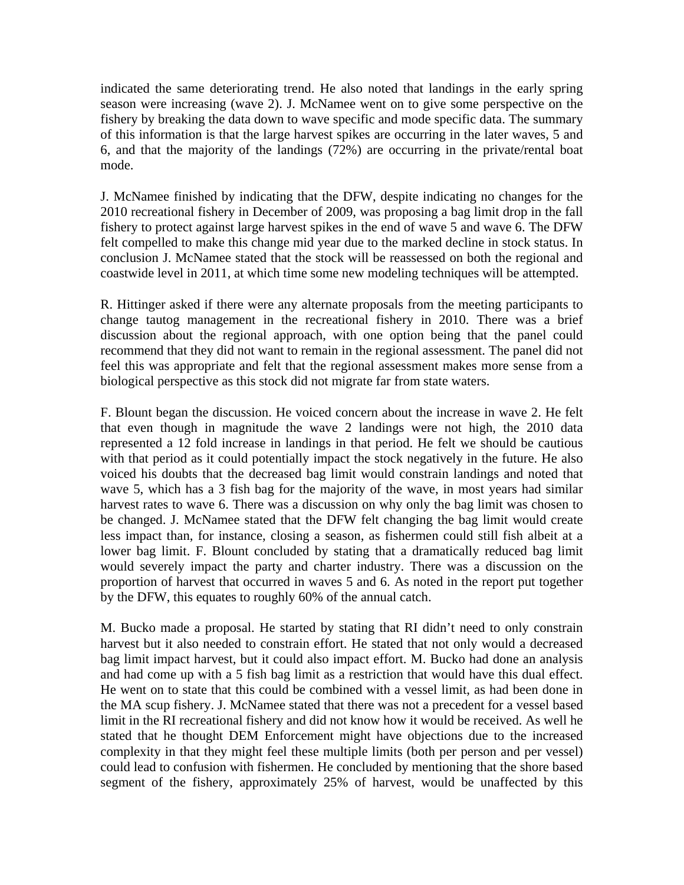indicated the same deteriorating trend. He also noted that landings in the early spring season were increasing (wave 2). J. McNamee went on to give some perspective on the fishery by breaking the data down to wave specific and mode specific data. The summary of this information is that the large harvest spikes are occurring in the later waves, 5 and 6, and that the majority of the landings (72%) are occurring in the private/rental boat mode.

J. McNamee finished by indicating that the DFW, despite indicating no changes for the 2010 recreational fishery in December of 2009, was proposing a bag limit drop in the fall fishery to protect against large harvest spikes in the end of wave 5 and wave 6. The DFW felt compelled to make this change mid year due to the marked decline in stock status. In conclusion J. McNamee stated that the stock will be reassessed on both the regional and coastwide level in 2011, at which time some new modeling techniques will be attempted.

R. Hittinger asked if there were any alternate proposals from the meeting participants to change tautog management in the recreational fishery in 2010. There was a brief discussion about the regional approach, with one option being that the panel could recommend that they did not want to remain in the regional assessment. The panel did not feel this was appropriate and felt that the regional assessment makes more sense from a biological perspective as this stock did not migrate far from state waters.

F. Blount began the discussion. He voiced concern about the increase in wave 2. He felt that even though in magnitude the wave 2 landings were not high, the 2010 data represented a 12 fold increase in landings in that period. He felt we should be cautious with that period as it could potentially impact the stock negatively in the future. He also voiced his doubts that the decreased bag limit would constrain landings and noted that wave 5, which has a 3 fish bag for the majority of the wave, in most years had similar harvest rates to wave 6. There was a discussion on why only the bag limit was chosen to be changed. J. McNamee stated that the DFW felt changing the bag limit would create less impact than, for instance, closing a season, as fishermen could still fish albeit at a lower bag limit. F. Blount concluded by stating that a dramatically reduced bag limit would severely impact the party and charter industry. There was a discussion on the proportion of harvest that occurred in waves 5 and 6. As noted in the report put together by the DFW, this equates to roughly 60% of the annual catch.

M. Bucko made a proposal. He started by stating that RI didn't need to only constrain harvest but it also needed to constrain effort. He stated that not only would a decreased bag limit impact harvest, but it could also impact effort. M. Bucko had done an analysis and had come up with a 5 fish bag limit as a restriction that would have this dual effect. He went on to state that this could be combined with a vessel limit, as had been done in the MA scup fishery. J. McNamee stated that there was not a precedent for a vessel based limit in the RI recreational fishery and did not know how it would be received. As well he stated that he thought DEM Enforcement might have objections due to the increased complexity in that they might feel these multiple limits (both per person and per vessel) could lead to confusion with fishermen. He concluded by mentioning that the shore based segment of the fishery, approximately 25% of harvest, would be unaffected by this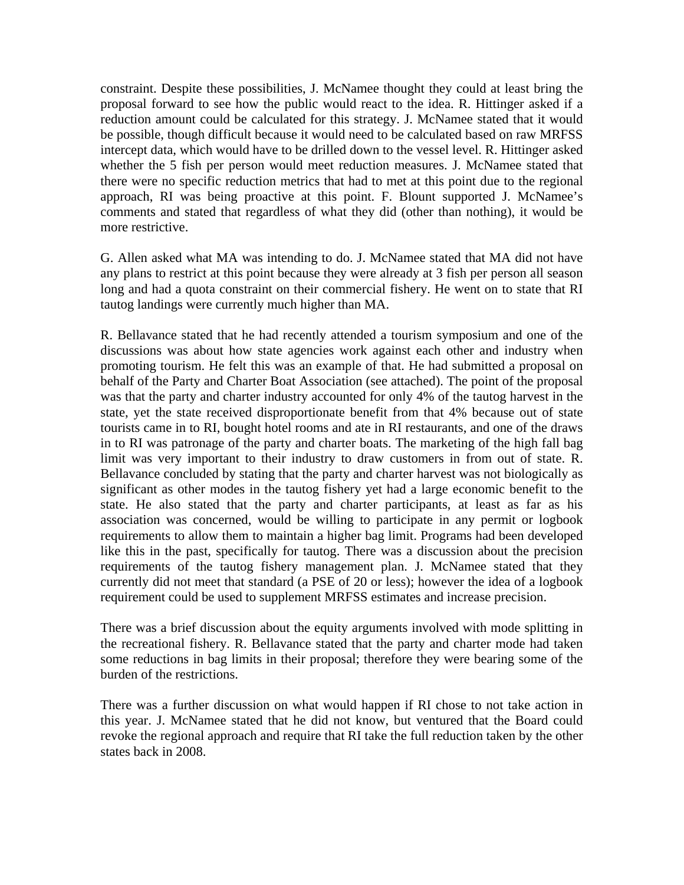constraint. Despite these possibilities, J. McNamee thought they could at least bring the proposal forward to see how the public would react to the idea. R. Hittinger asked if a reduction amount could be calculated for this strategy. J. McNamee stated that it would be possible, though difficult because it would need to be calculated based on raw MRFSS intercept data, which would have to be drilled down to the vessel level. R. Hittinger asked whether the 5 fish per person would meet reduction measures. J. McNamee stated that there were no specific reduction metrics that had to met at this point due to the regional approach, RI was being proactive at this point. F. Blount supported J. McNamee's comments and stated that regardless of what they did (other than nothing), it would be more restrictive.

G. Allen asked what MA was intending to do. J. McNamee stated that MA did not have any plans to restrict at this point because they were already at 3 fish per person all season long and had a quota constraint on their commercial fishery. He went on to state that RI tautog landings were currently much higher than MA.

R. Bellavance stated that he had recently attended a tourism symposium and one of the discussions was about how state agencies work against each other and industry when promoting tourism. He felt this was an example of that. He had submitted a proposal on behalf of the Party and Charter Boat Association (see attached). The point of the proposal was that the party and charter industry accounted for only 4% of the tautog harvest in the state, yet the state received disproportionate benefit from that 4% because out of state tourists came in to RI, bought hotel rooms and ate in RI restaurants, and one of the draws in to RI was patronage of the party and charter boats. The marketing of the high fall bag limit was very important to their industry to draw customers in from out of state. R. Bellavance concluded by stating that the party and charter harvest was not biologically as significant as other modes in the tautog fishery yet had a large economic benefit to the state. He also stated that the party and charter participants, at least as far as his association was concerned, would be willing to participate in any permit or logbook requirements to allow them to maintain a higher bag limit. Programs had been developed like this in the past, specifically for tautog. There was a discussion about the precision requirements of the tautog fishery management plan. J. McNamee stated that they currently did not meet that standard (a PSE of 20 or less); however the idea of a logbook requirement could be used to supplement MRFSS estimates and increase precision.

There was a brief discussion about the equity arguments involved with mode splitting in the recreational fishery. R. Bellavance stated that the party and charter mode had taken some reductions in bag limits in their proposal; therefore they were bearing some of the burden of the restrictions.

There was a further discussion on what would happen if RI chose to not take action in this year. J. McNamee stated that he did not know, but ventured that the Board could revoke the regional approach and require that RI take the full reduction taken by the other states back in 2008.